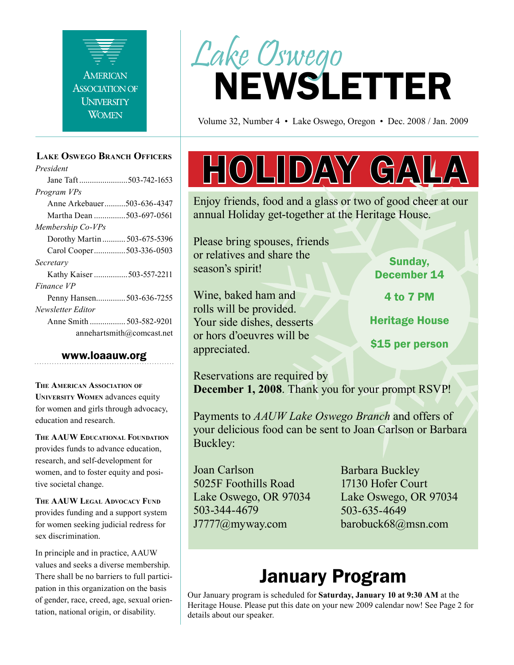

#### **Lake Oswego Branch Officers**

*President* Jane Taft .......................503-742-1653 *Program VPs* Anne Arkebauer..........503-636-4347 Martha Dean ...............503-697-0561 *Membership Co-VPs* Dorothy Martin ........... 503-675-5396 Carol Cooper...............503-336-0503 *Secretary* Kathy Kaiser ................503-557-2211 *Finance VP* Penny Hansen..............503-636-7255 *Newsletter Editor* Anne Smith ................. 503-582-9201 annehartsmith@comcast.net

#### www.loaauw.org

**The American Association of University Women** advances equity for women and girls through advocacy, education and research.

**The AAUW Educational Foundation** provides funds to advance education, research, and self-development for women, and to foster equity and positive societal change.

**The AAUW Legal Advocacy Fund** provides funding and a support system for women seeking judicial redress for sex discrimination.

In principle and in practice, AAUW values and seeks a diverse membership. There shall be no barriers to full participation in this organization on the basis of gender, race, creed, age, sexual orientation, national origin, or disability.



Volume 32, Number 4 • Lake Oswego, Oregon • Dec. 2008 / Jan. 2009

# HOLIDAY GALA

Enjoy friends, food and a glass or two of good cheer at our annual Holiday get-together at the Heritage House.

Please bring spouses, friends or relatives and share the season's spirit!

Wine, baked ham and rolls will be provided. Your side dishes, desserts or hors d'oeuvres will be appreciated.

Sunday, December 14

4 to 7 PM

Heritage House

\$15 per person

Reservations are required by **December 1, 2008**. Thank you for your prompt RSVP!

Payments to *AAUW Lake Oswego Branch* and offers of your delicious food can be sent to Joan Carlson or Barbara Buckley:

Joan Carlson 5025F Foothills Road Lake Oswego, OR 97034 503-344-4679 J7777@myway.com

Barbara Buckley 17130 Hofer Court Lake Oswego, OR 97034 503-635-4649 barobuck68@msn.com

## January Program

Our January program is scheduled for **Saturday, January 10 at 9:30 AM** at the Heritage House. Please put this date on your new 2009 calendar now! See Page 2 for details about our speaker.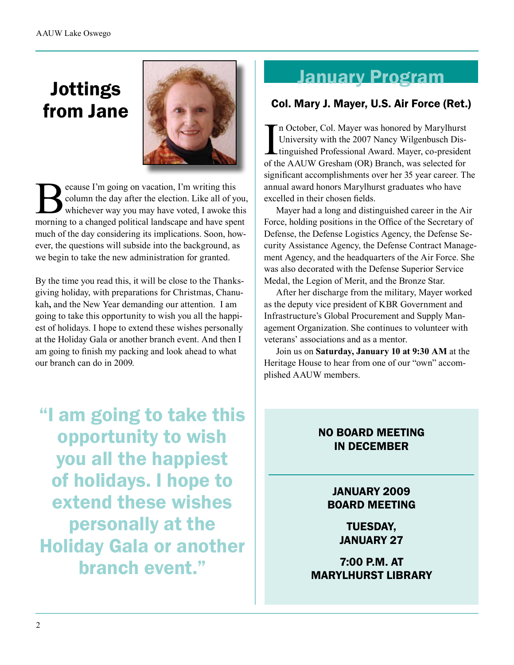# Jottings from Jane



Example 2 and T im going on vacation, I'm writing this<br>column the day after the election. Like all of you whichever way you may have voted, I awoke the<br>morning to a changed political landscape and have spec column the day after the election. Like all of you, whichever way you may have voted, I awoke this morning to a changed political landscape and have spent much of the day considering its implications. Soon, however, the questions will subside into the background, as we begin to take the new administration for granted.

By the time you read this, it will be close to the Thanksgiving holiday, with preparations for Christmas, Chanukah**,** and the New Year demanding our attention. I am going to take this opportunity to wish you all the happiest of holidays. I hope to extend these wishes personally at the Holiday Gala or another branch event. And then I am going to finish my packing and look ahead to what our branch can do in 2009.

"I am going to take this opportunity to wish you all the happiest of holidays. I hope to extend these wishes personally at the Holiday Gala or another branch event."

## January Program

#### Col. Mary J. Mayer, U.S. Air Force (Ret.)

In October, Col. Mayer was honored by Marylhurst<br>University with the 2007 Nancy Wilgenbusch Dis-<br>tinguished Professional Award. Mayer, co-presiden<br>of the AAUW Gresham (OR) Branch, was selected for n October, Col. Mayer was honored by Marylhurst University with the 2007 Nancy Wilgenbusch Distinguished Professional Award. Mayer, co-president significant accomplishments over her 35 year career. The annual award honors Marylhurst graduates who have excelled in their chosen fields.

Mayer had a long and distinguished career in the Air Force, holding positions in the Office of the Secretary of Defense, the Defense Logistics Agency, the Defense Security Assistance Agency, the Defense Contract Management Agency, and the headquarters of the Air Force. She was also decorated with the Defense Superior Service Medal, the Legion of Merit, and the Bronze Star.

After her discharge from the military, Mayer worked as the deputy vice president of KBR Government and Infrastructure's Global Procurement and Supply Management Organization. She continues to volunteer with veterans' associations and as a mentor.

Join us on **Saturday, January 10 at 9:30 AM** at the Heritage House to hear from one of our "own" accomplished AAUW members.

### NO BOARD MEETING IN DECEMBER

#### JANUARY 2009 BOARD MEETING

TUESDAY, JANUARY 27

7:00 P.M. AT MARYLHURST LIBRARY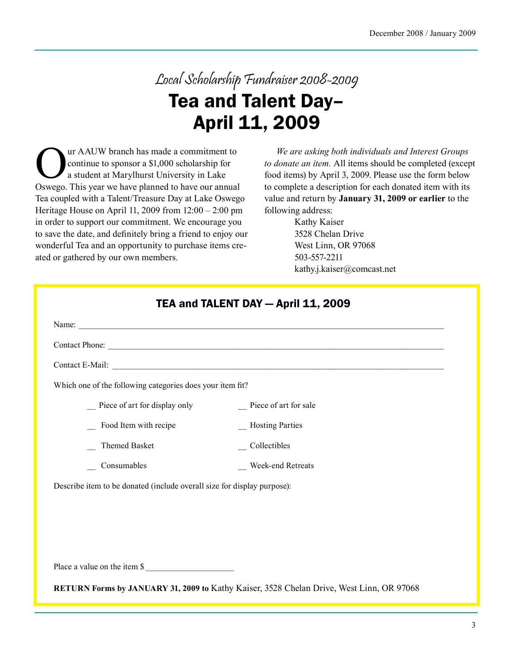# Local Scholarship Fundraiser 2008-2009 Tea and Talent Day– April 11, 2009

The Sur AAUW branch has made a commitment to<br>continue to sponsor a \$1,000 scholarship for<br>a student at Marylhurst University in Lake<br>Oswego. This year we have planned to have our annual continue to sponsor a \$1,000 scholarship for a student at Marylhurst University in Lake Oswego. This year we have planned to have our annual Tea coupled with a Talent/Treasure Day at Lake Oswego Heritage House on April 11, 2009 from 12:00 – 2:00 pm in order to support our commitment. We encourage you to save the date, and definitely bring a friend to enjoy our wonderful Tea and an opportunity to purchase items created or gathered by our own members.

*We are asking both individuals and Interest Groups to donate an item.* All items should be completed (except food items) by April 3, 2009. Please use the form below to complete a description for each donated item with its value and return by **January 31, 2009 or earlier** to the following address:

> Kathy Kaiser 3528 Chelan Drive West Linn, OR 97068 503-557-2211 kathy.j.kaiser@comcast.net

| Which one of the following categories does your item fit?               |                       |  |
|-------------------------------------------------------------------------|-----------------------|--|
| $\equiv$ Piece of art for display only                                  | Piece of art for sale |  |
| _ Food Item with recipe                                                 | _ Hosting Parties     |  |
| Themed Basket                                                           | Collectibles          |  |
| Consumables                                                             | Week-end Retreats     |  |
| Describe item to be donated (include overall size for display purpose): |                       |  |
|                                                                         |                       |  |
|                                                                         |                       |  |
|                                                                         |                       |  |
| Place a value on the item \$                                            |                       |  |

**RETURN Forms by JANUARY 31, 2009 to** Kathy Kaiser, 3528 Chelan Drive, West Linn, OR 97068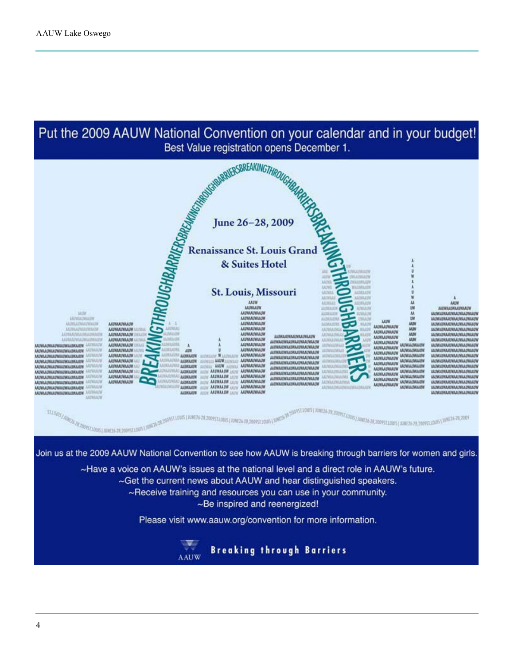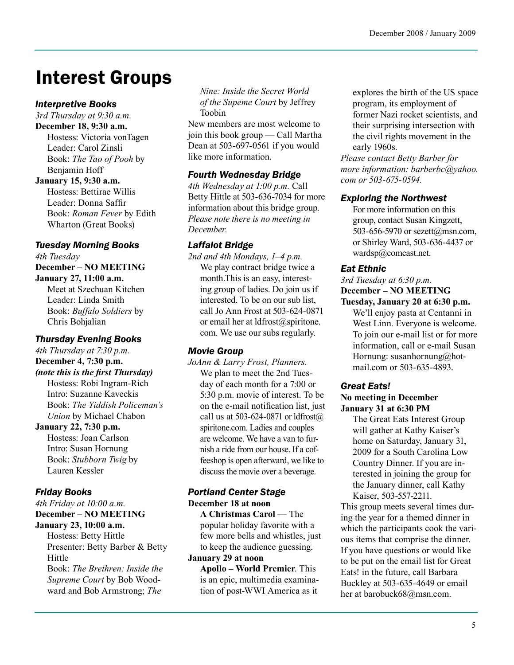# Interest Groups

#### *Interpretive Books*

*3rd Thursday at 9:30 a.m.* **December 18, 9:30 a.m.**

Hostess: Victoria vonTagen Leader: Carol Zinsli Book: *The Tao of Pooh* by Benjamin Hoff

#### **January 15, 9:30 a.m.**

Hostess: Bettirae Willis Leader: Donna Saffir Book: *Roman Fever* by Edith Wharton (Great Books)

#### *Tuesday Morning Books*

*4th Tuesday* **December – NO MEETING January 27, 11:00 a.m.**

Meet at Szechuan Kitchen Leader: Linda Smith Book: *Buffalo Soldiers* by Chris Bohjalian

#### *Thursday Evening Books*

*4th Thursday at 7:30 p.m.*

**December 4, 7:30 p.m.** 

*(note this is the first Thursday)* Hostess: Robi Ingram-Rich Intro: Suzanne Kaveckis Book: *The Yiddish Policeman's Union* by Michael Chabon

#### **January 22, 7:30 p.m.**

Hostess: Joan Carlson Intro: Susan Hornung Book: *Stubborn Twig* by Lauren Kessler

#### *Friday Books*

#### *4th Friday at 10:00 a.m.* **December – NO MEETING**

#### **January 23, 10:00 a.m.**

Hostess: Betty Hittle Presenter: Betty Barber & Betty Hittle Book: *The Brethren: Inside the Supreme Court* by Bob Woodward and Bob Armstrong; *The* 

*Nine: Inside the Secret World of the Supeme Court* by Jeffrey Toobin

New members are most welcome to join this book group — Call Martha Dean at 503-697-0561 if you would like more information.

#### *Fourth Wednesday Bridge*

*4th Wednesday at 1:00 p.m.* Call Betty Hittle at 503-636-7034 for more information about this bridge group. *Please note there is no meeting in December.*

#### *Laffalot Bridge*

*2nd and 4th Mondays, 1–4 p.m.* We play contract bridge twice a month.This is an easy, interesting group of ladies. Do join us if interested. To be on our sub list, call Jo Ann Frost at 503-624-0871 or email her at ldfrost@spiritone. com. We use our subs regularly.

#### *Movie Group*

*JoAnn & Larry Frost, Planners.* We plan to meet the 2nd Tuesday of each month for a 7:00 or 5:30 p.m. movie of interest. To be on the e-mail notification list, just call us at 503-624-0871 or  $ldf(\alpha)$ spiritone.com. Ladies and couples are welcome. We have a van to furnish a ride from our house. If a coffeeshop is open afterward, we like to discuss the movie over a beverage.

### *Portland Center Stage*

**December 18 at noon**

**A Christmas Carol** — The popular holiday favorite with a few more bells and whistles, just to keep the audience guessing.

#### **January 29 at noon**

**Apollo – World Premier**. This is an epic, multimedia examination of post-WWI America as it

explores the birth of the US space program, its employment of former Nazi rocket scientists, and their surprising intersection with the civil rights movement in the early 1960s.

*Please contact Betty Barber for more information: barberbc@yahoo. com or 503-675-0594.* 

#### *Exploring the Northwest*

For more information on this group, contact Susan Kingzett, 503-656-5970 or sezett@msn.com, or Shirley Ward, 503-636-4437 or wardsp@comcast.net.

#### *Eat Ethnic*

*3rd Tuesday at 6:30 p.m.*

**December – NO MEETING**

**Tuesday, January 20 at 6:30 p.m.** We'll enjoy pasta at Centanni in West Linn. Everyone is welcome. To join our e-mail list or for more information, call or e-mail Susan Hornung: susanhornung@hotmail.com or 503-635-4893.

### *Great Eats!*

#### **No meeting in December January 31 at 6:30 PM**

The Great Eats Interest Group will gather at Kathy Kaiser's home on Saturday, January 31, 2009 for a South Carolina Low Country Dinner. If you are interested in joining the group for the January dinner, call Kathy Kaiser, 503-557-2211.

This group meets several times during the year for a themed dinner in which the participants cook the various items that comprise the dinner. If you have questions or would like to be put on the email list for Great Eats! in the future, call Barbara Buckley at 503-635-4649 or email her at barobuck68@msn.com.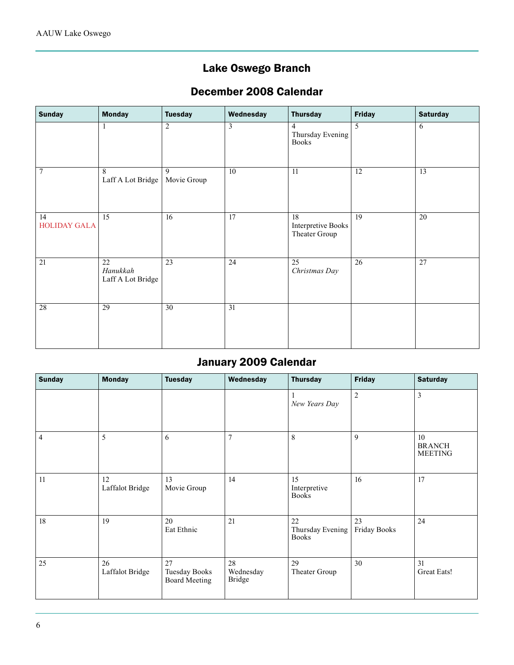### Lake Oswego Branch

### December 2008 Calendar

| <b>Sunday</b>             | <b>Monday</b>                       | <b>Tuesday</b>   | Wednesday       | <b>Thursday</b>                                    | <b>Friday</b>   | <b>Saturday</b> |
|---------------------------|-------------------------------------|------------------|-----------------|----------------------------------------------------|-----------------|-----------------|
|                           | 1                                   | $\sqrt{2}$       | $\overline{3}$  | $\overline{4}$<br>Thursday Evening<br><b>Books</b> | $\overline{5}$  | 6               |
| 7                         | 8<br>Laff A Lot Bridge              | 9<br>Movie Group | $\overline{10}$ | 11                                                 | $\overline{12}$ | $\overline{13}$ |
| 14<br><b>HOLIDAY GALA</b> | $\overline{15}$                     | 16               | 17              | 18<br>Interpretive Books<br>Theater Group          | 19              | $\overline{20}$ |
| $\overline{21}$           | 22<br>Hanukkah<br>Laff A Lot Bridge | $\overline{23}$  | $\overline{24}$ | $\overline{25}$<br>Christmas Day                   | $\overline{26}$ | $\overline{27}$ |
| 28                        | 29                                  | $\overline{30}$  | 31              |                                                    |                 |                 |

### January 2009 Calendar

| <b>Sunday</b>  | <b>Monday</b>         | <b>Tuesday</b>                                     | Wednesday                        | <b>Thursday</b>                        | <b>Friday</b>      | <b>Saturday</b>                       |
|----------------|-----------------------|----------------------------------------------------|----------------------------------|----------------------------------------|--------------------|---------------------------------------|
|                |                       |                                                    |                                  | New Years Day                          | $\sqrt{2}$         | $\mathfrak{Z}$                        |
| $\overline{4}$ | 5                     | 6                                                  | $\overline{7}$                   | 8                                      | 9                  | 10<br><b>BRANCH</b><br><b>MEETING</b> |
| 11             | 12<br>Laffalot Bridge | 13<br>Movie Group                                  | 14                               | 15<br>Interpretive<br><b>Books</b>     | 16                 | 17                                    |
| 18             | 19                    | 20<br>Eat Ethnic                                   | 21                               | 22<br>Thursday Evening<br><b>Books</b> | 23<br>Friday Books | 24                                    |
| 25             | 26<br>Laffalot Bridge | 27<br><b>Tuesday Books</b><br><b>Board Meeting</b> | 28<br>Wednesday<br><b>Bridge</b> | 29<br>Theater Group                    | 30                 | 31<br>Great Eats!                     |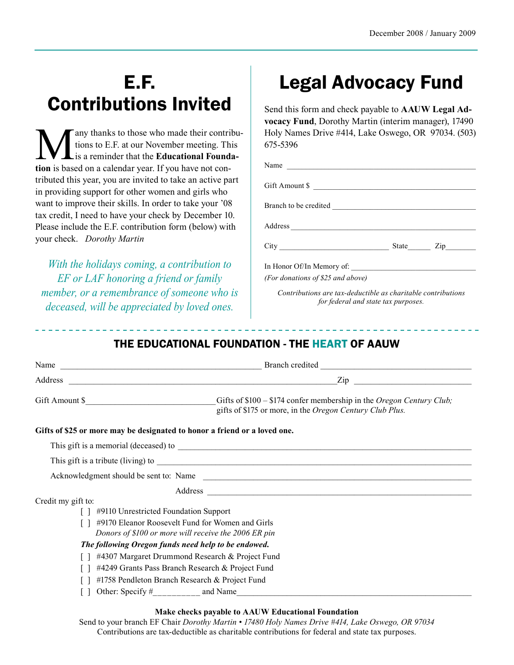# E.F. Contributions Invited

Many thanks to those who made their contribu-<br>tions to E.F. at our November meeting. This<br>is a reminder that the **Educational Founda-**<br>tion is based on a calendar year. If you have not contions to E.F. at our November meeting. This is a reminder that the **Educational Foundation** is based on a calendar year. If you have not contributed this year, you are invited to take an active part in providing support for other women and girls who want to improve their skills. In order to take your '08 tax credit, I need to have your check by December 10. Please include the E.F. contribution form (below) with your check. *Dorothy Martin*

*With the holidays coming, a contribution to EF or LAF honoring a friend or family member, or a remembrance of someone who is deceased, will be appreciated by loved ones.* 

# Legal Advocacy Fund

Send this form and check payable to **AAUW Legal Advocacy Fund**, Dorothy Martin (interim manager), 17490 Holy Names Drive #414, Lake Oswego, OR 97034. (503) 675-5396

| Name                      |           |
|---------------------------|-----------|
| Gift Amount \$            |           |
|                           |           |
|                           |           |
| City                      | State Zip |
| In Honor Of/In Memory of: |           |

*(For donations of \$25 and above)*

*Contributions are tax-deductible as charitable contributions for federal and state tax purposes.*

### THE EDUCATIONAL FOUNDATION - THE HEART OF AAUW

|                                                                           | $\mathsf{Zip}$                                                                                                                           |  |  |
|---------------------------------------------------------------------------|------------------------------------------------------------------------------------------------------------------------------------------|--|--|
| Gift Amount \$                                                            | Gifts of $$100 - $174$ confer membership in the <i>Oregon Century Club</i> ;<br>gifts of \$175 or more, in the Oregon Century Club Plus. |  |  |
| Gifts of \$25 or more may be designated to honor a friend or a loved one. |                                                                                                                                          |  |  |
|                                                                           |                                                                                                                                          |  |  |
|                                                                           |                                                                                                                                          |  |  |
|                                                                           | Acknowledgment should be sent to: Name                                                                                                   |  |  |
|                                                                           |                                                                                                                                          |  |  |
| Credit my gift to:                                                        |                                                                                                                                          |  |  |
| #9110 Unrestricted Foundation Support                                     |                                                                                                                                          |  |  |
| #9170 Eleanor Roosevelt Fund for Women and Girls                          |                                                                                                                                          |  |  |
| Donors of \$100 or more will receive the 2006 ER pin                      |                                                                                                                                          |  |  |
| The following Oregon funds need help to be endowed.                       |                                                                                                                                          |  |  |
| #4307 Margaret Drummond Research & Project Fund                           |                                                                                                                                          |  |  |
| #4249 Grants Pass Branch Research & Project Fund                          |                                                                                                                                          |  |  |
| #1758 Pendleton Branch Research & Project Fund                            |                                                                                                                                          |  |  |
|                                                                           |                                                                                                                                          |  |  |

#### **Make checks payable to AAUW Educational Foundation**

Send to your branch EF Chair *Dorothy Martin • 17480 Holy Names Drive #414, Lake Oswego, OR 97034* Contributions are tax-deductible as charitable contributions for federal and state tax purposes.